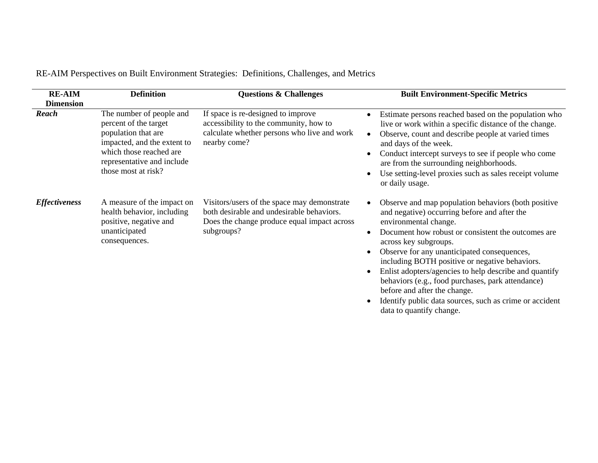| <b>RE-AIM</b><br><b>Dimension</b> | <b>Definition</b>                                                                                                                                                                       | <b>Questions &amp; Challenges</b>                                                                                                                     | <b>Built Environment-Specific Metrics</b>                                                                                                                                                                                                                                                                                                                                                                                                                   |
|-----------------------------------|-----------------------------------------------------------------------------------------------------------------------------------------------------------------------------------------|-------------------------------------------------------------------------------------------------------------------------------------------------------|-------------------------------------------------------------------------------------------------------------------------------------------------------------------------------------------------------------------------------------------------------------------------------------------------------------------------------------------------------------------------------------------------------------------------------------------------------------|
| Reach                             | The number of people and<br>percent of the target<br>population that are<br>impacted, and the extent to<br>which those reached are<br>representative and include<br>those most at risk? | If space is re-designed to improve<br>accessibility to the community, how to<br>calculate whether persons who live and work<br>nearby come?           | Estimate persons reached based on the population who<br>live or work within a specific distance of the change.<br>Observe, count and describe people at varied times<br>and days of the week.<br>Conduct intercept surveys to see if people who come<br>are from the surrounding neighborhoods.<br>Use setting-level proxies such as sales receipt volume<br>or daily usage.                                                                                |
| <b>Effectiveness</b>              | A measure of the impact on<br>health behavior, including<br>positive, negative and<br>unanticipated<br>consequences.                                                                    | Visitors/users of the space may demonstrate<br>both desirable and undesirable behaviors.<br>Does the change produce equal impact across<br>subgroups? | Observe and map population behaviors (both positive<br>and negative) occurring before and after the<br>environmental change.<br>Document how robust or consistent the outcomes are<br>across key subgroups.<br>Observe for any unanticipated consequences,<br>including BOTH positive or negative behaviors.<br>Enlist adopters/agencies to help describe and quantify<br>behaviors (e.g., food purchases, park attendance)<br>before and after the change. |

RE-AIM Perspectives on Built Environment Strategies: Definitions, Challenges, and Metrics

• Identify public data sources, such as crime or accident data to quantify change.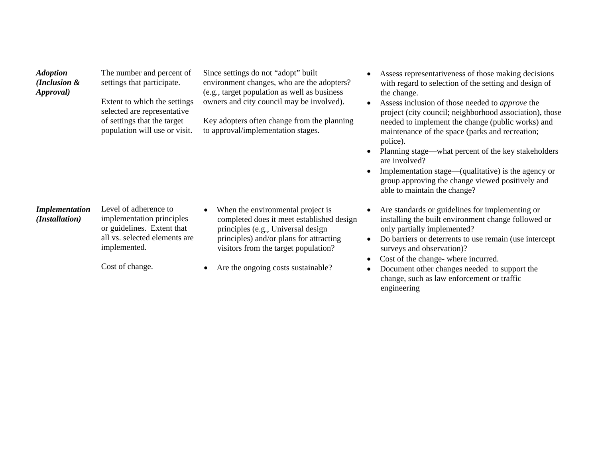| <b>Adoption</b><br>(Inclusion $\&$<br><i>Approval</i> ) | The number and percent of<br>settings that participate.<br>Extent to which the settings<br>selected are representative<br>of settings that the target<br>population will use or visit. | Since settings do not "adopt" built<br>environment changes, who are the adopters?<br>(e.g., target population as well as business<br>owners and city council may be involved).<br>Key adopters often change from the planning<br>to approval/implementation stages. | Assess representativeness of those making decisions<br>with regard to selection of the setting and design of<br>the change.<br>Assess inclusion of those needed to <i>approve</i> the<br>project (city council; neighborhood association), those<br>needed to implement the change (public works) and<br>maintenance of the space (parks and recreation;<br>police).<br>Planning stage—what percent of the key stakeholders<br>are involved?<br>Implementation stage—(qualitative) is the agency or<br>group approving the change viewed positively and<br>able to maintain the change? |
|---------------------------------------------------------|----------------------------------------------------------------------------------------------------------------------------------------------------------------------------------------|---------------------------------------------------------------------------------------------------------------------------------------------------------------------------------------------------------------------------------------------------------------------|-----------------------------------------------------------------------------------------------------------------------------------------------------------------------------------------------------------------------------------------------------------------------------------------------------------------------------------------------------------------------------------------------------------------------------------------------------------------------------------------------------------------------------------------------------------------------------------------|
| <i>Implementation</i><br>( <i>Installation</i> )        | Level of adherence to<br>implementation principles<br>or guidelines. Extent that<br>all vs. selected elements are<br>implemented.                                                      | When the environmental project is<br>$\bullet$<br>completed does it meet established design<br>principles (e.g., Universal design<br>principles) and/or plans for attracting<br>visitors from the target population?                                                | Are standards or guidelines for implementing or<br>installing the built environment change followed or<br>only partially implemented?<br>Do barriers or deterrents to use remain (use intercept<br>surveys and observation)?                                                                                                                                                                                                                                                                                                                                                            |

Cost of change.

• Are the ongoing costs sustainable?

• Cost of the change- where incurred. • Document other changes needed to support the change, such as law enforcement or traffic engineering